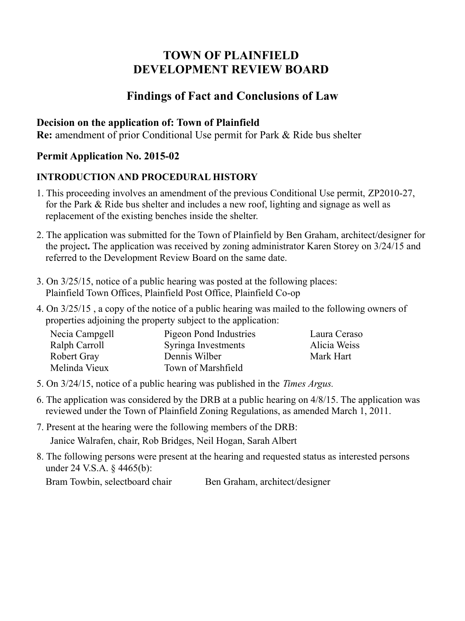# **TOWN OF PLAINFIELD DEVELOPMENT REVIEW BOARD**

## **Findings of Fact and Conclusions of Law**

### **Decision on the application of: Town of Plainfield**

**Re:** amendment of prior Conditional Use permit for Park & Ride bus shelter

### **Permit Application No. 2015-02**

### **INTRODUCTION AND PROCEDURAL HISTORY**

- 1. This proceeding involves an amendment of the previous Conditional Use permit, ZP2010-27, for the Park & Ride bus shelter and includes a new roof, lighting and signage as well as replacement of the existing benches inside the shelter.
- 2. The application was submitted for the Town of Plainfield by Ben Graham, architect/designer for the project**.** The application was received by zoning administrator Karen Storey on 3/24/15 and referred to the Development Review Board on the same date.
- 3. On 3/25/15, notice of a public hearing was posted at the following places: Plainfield Town Offices, Plainfield Post Office, Plainfield Co-op
- 4. On 3/25/15 , a copy of the notice of a public hearing was mailed to the following owners of properties adjoining the property subject to the application:

| Necia Campgell | Pigeon Pond Industries | Laura Ceraso |
|----------------|------------------------|--------------|
| Ralph Carroll  | Syringa Investments    | Alicia Weiss |
| Robert Gray    | Dennis Wilber          | Mark Hart    |
| Melinda Vieux  | Town of Marshfield     |              |

- 5. On 3/24/15, notice of a public hearing was published in the *Times Argus.*
- 6. The application was considered by the DRB at a public hearing on 4/8/15. The application was reviewed under the Town of Plainfield Zoning Regulations, as amended March 1, 2011.
- 7. Present at the hearing were the following members of the DRB: Janice Walrafen, chair, Rob Bridges, Neil Hogan, Sarah Albert
- 8. The following persons were present at the hearing and requested status as interested persons under 24 V.S.A. § 4465(b):

Bram Towbin, selectboard chair Ben Graham, architect/designer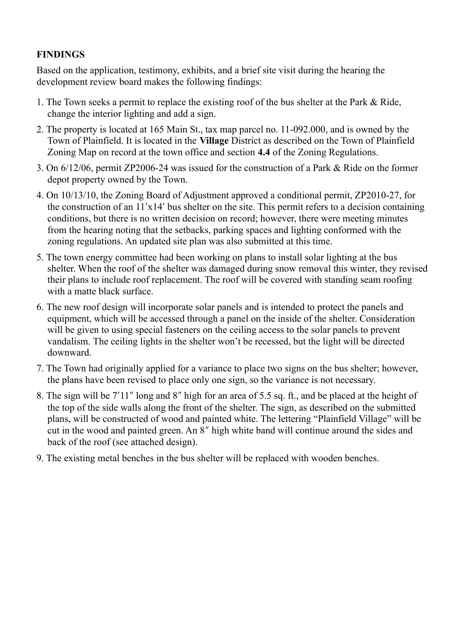#### **FINDINGS**

Based on the application, testimony, exhibits, and a brief site visit during the hearing the development review board makes the following findings:

- 1. The Town seeks a permit to replace the existing roof of the bus shelter at the Park & Ride, change the interior lighting and add a sign.
- 2. The property is located at 165 Main St., tax map parcel no. 11-092.000, and is owned by the Town of Plainfield. It is located in the **Village** District as described on the Town of Plainfield Zoning Map on record at the town office and section **4.4** of the Zoning Regulations.
- 3. On 6/12/06, permit ZP2006-24 was issued for the construction of a Park & Ride on the former depot property owned by the Town.
- 4. On 10/13/10, the Zoning Board of Adjustment approved a conditional permit, ZP2010-27, for the construction of an  $11'x14'$  bus shelter on the site. This permit refers to a decision containing conditions, but there is no written decision on record; however, there were meeting minutes from the hearing noting that the setbacks, parking spaces and lighting conformed with the zoning regulations. An updated site plan was also submitted at this time.
- 5. The town energy committee had been working on plans to install solar lighting at the bus shelter. When the roof of the shelter was damaged during snow removal this winter, they revised their plans to include roof replacement. The roof will be covered with standing seam roofing with a matte black surface.
- 6. The new roof design will incorporate solar panels and is intended to protect the panels and equipment, which will be accessed through a panel on the inside of the shelter. Consideration will be given to using special fasteners on the ceiling access to the solar panels to prevent vandalism. The ceiling lights in the shelter won't be recessed, but the light will be directed downward.
- 7. The Town had originally applied for a variance to place two signs on the bus shelter; however, the plans have been revised to place only one sign, so the variance is not necessary.
- 8. The sign will be  $7'11''$  long and 8" high for an area of 5.5 sq. ft., and be placed at the height of the top of the side walls along the front of the shelter. The sign, as described on the submitted plans, will be constructed of wood and painted white. The lettering "Plainfield Village" will be cut in the wood and painted green. An  $\bar{8}$ " high white band will continue around the sides and back of the roof (see attached design).
- 9. The existing metal benches in the bus shelter will be replaced with wooden benches.